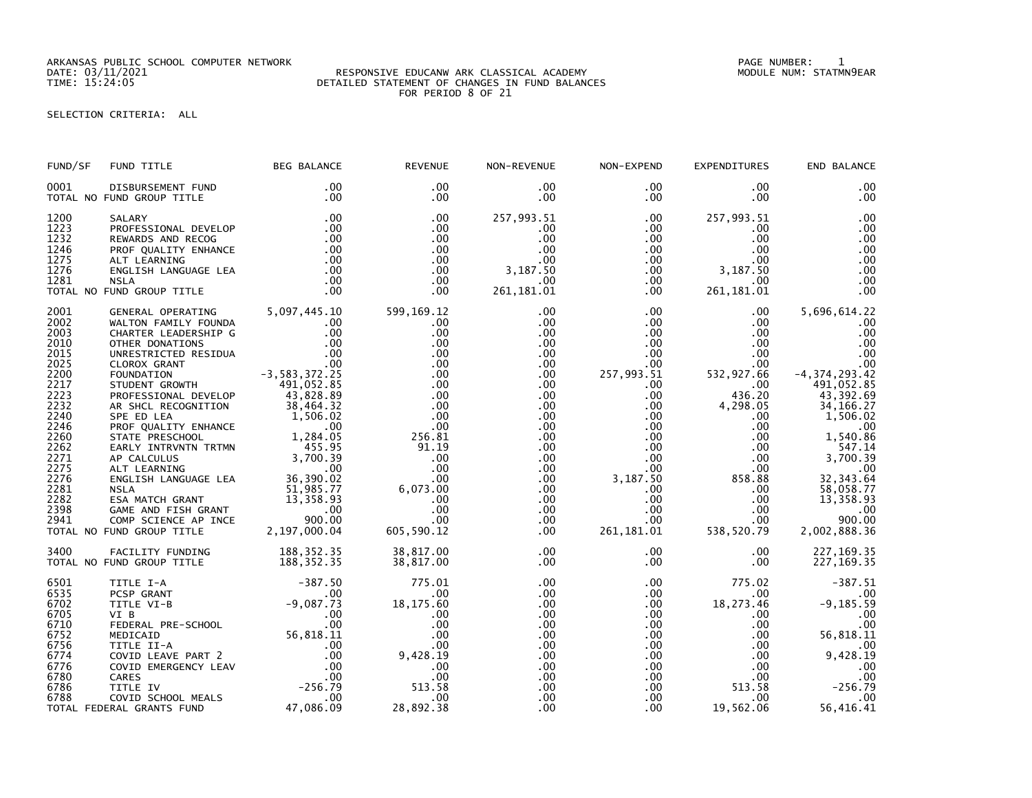ARKANSAS PUBLIC SCHOOL COMPUTER NETWORK PAGE NUMBER: 1

## DATE: 03/11/2021 RESPONSIVE EDUCANW ARK CLASSICAL ACADEMY MODULE NUM: STATMN9EAR TIME: 15:24:05 DETAILED STATEMENT OF CHANGES IN FUND BALANCES FOR PERIOD 8 OF 21

## SELECTION CRITERIA: ALL

| FUND/SF | FUND TITLE                                                                                                                                                                                                                                                     | <b>BEG BALANCE</b>       | <b>REVENUE</b>                                                                                   | NON-REVENUE          | NON-EXPEND                                                     | <b>EXPENDITURES</b>                                                                                                 | END BALANCE                  |
|---------|----------------------------------------------------------------------------------------------------------------------------------------------------------------------------------------------------------------------------------------------------------------|--------------------------|--------------------------------------------------------------------------------------------------|----------------------|----------------------------------------------------------------|---------------------------------------------------------------------------------------------------------------------|------------------------------|
| 0001    | DISBURSEMENT FUND<br>TOTAL NO FUND GROUP TITLE                                                                                                                                                                                                                 | .00<br>.00               | $.00 \,$<br>$.00 \,$                                                                             | $.00 \,$<br>$.00 \,$ | $.00 \,$<br>$.00 \,$                                           | $.00 \,$<br>$.00 \,$                                                                                                | .00<br>.00                   |
|         |                                                                                                                                                                                                                                                                |                          | .00                                                                                              | 257,993.51           | $.00 \,$                                                       | 257,993.51                                                                                                          | .00                          |
|         |                                                                                                                                                                                                                                                                |                          | .00                                                                                              | $.00 \,$             | $.00 \,$                                                       | $.00 \,$                                                                                                            | .00                          |
|         |                                                                                                                                                                                                                                                                |                          | .00                                                                                              | $.00 \,$             | $.00\,$                                                        | $.00 \,$                                                                                                            | .00                          |
|         |                                                                                                                                                                                                                                                                |                          | $.00 \,$                                                                                         | .00                  | .00                                                            | $.00 \,$                                                                                                            | .00                          |
|         |                                                                                                                                                                                                                                                                |                          | $.00 \,$                                                                                         | $.00 \,$             | .00                                                            | $.00 \,$                                                                                                            | .00                          |
|         |                                                                                                                                                                                                                                                                |                          | $.00 \,$                                                                                         | 3,187.50             |                                                                |                                                                                                                     | .00                          |
|         |                                                                                                                                                                                                                                                                |                          | $.00 \,$                                                                                         | $.00 \,$             |                                                                |                                                                                                                     | .00                          |
|         | 1200 SALARY .00<br>1223 PROFESSIONAL DEVELOP .00<br>1232 REWARDS AND RECOG .00<br>1246 PROF QUALITY ENHANCE .00<br>1275 ALT LEARNING<br>1276 ENGLISH LANGUAGE LEA .00<br>1281 NSLA .00<br>TOTAL NO FUND GROUP TITLE .00<br>10<br>10<br>10<br>10<br>10<br>      |                          | $.00 \,$                                                                                         | 261, 181.01          |                                                                | $\begin{array}{lll} .00 & 3\, , 187 \, .50\, \, .00 & 261\, , 181\, .01\, \, .00 & 261\, , 181\, .01 & \end{array}$ | .00                          |
| 2001    | GENERAL OPERATING 5,097,445.10<br>WALTON FAMILY FOUNDA .00<br>CHARTER LEADERSHIP G .00<br>OTHER DONATIONS .00<br>OTHER DONATIONS .00<br>UNRESTRICTED RESIDUA .00<br>CLOROX GRANT .00<br>CLOROX GRANT .00<br>FOUNDATION .052.25<br>STUDENT GROWTH               |                          | 599,169.12                                                                                       | $.00 \,$             | $.00 \,$                                                       | $.00\,$                                                                                                             | 5,696,614.22                 |
| 2002    |                                                                                                                                                                                                                                                                |                          | $.00 \,$                                                                                         | $.00 \,$             | .00                                                            | $.00 \ \,$                                                                                                          | .00                          |
| 2003    |                                                                                                                                                                                                                                                                |                          | .00                                                                                              | $.00 \,$             | .00                                                            | $.00 \,$                                                                                                            | .00                          |
| 2010    |                                                                                                                                                                                                                                                                |                          | .00                                                                                              | $.00 \,$             | .00                                                            | $.00 \,$                                                                                                            | .00                          |
| 2015    |                                                                                                                                                                                                                                                                |                          | .00                                                                                              | $.00 \,$             | .00                                                            | $.00 \,$                                                                                                            | $\overline{00}$              |
| 2025    |                                                                                                                                                                                                                                                                |                          | .00                                                                                              | $.00 \,$             | $.00\,$                                                        |                                                                                                                     | .00                          |
| 2200    |                                                                                                                                                                                                                                                                |                          | .00                                                                                              | $.00 \,$             | 257,993.51                                                     | .00<br>532,927.66                                                                                                   | $-4, 374, 293.42$            |
| 2217    |                                                                                                                                                                                                                                                                |                          | .00                                                                                              | .00                  | $.00 \,$                                                       | $.00\,$                                                                                                             | 491,052.85                   |
| 2223    |                                                                                                                                                                                                                                                                |                          | .00                                                                                              | .00                  | .00                                                            | 436.20                                                                                                              | 43,392.69                    |
| 2232    |                                                                                                                                                                                                                                                                |                          | .00                                                                                              | $.00 \,$             |                                                                | $\frac{00}{20}$<br>4,298.05                                                                                         | 34, 166. 27                  |
| 2240    |                                                                                                                                                                                                                                                                |                          | .00                                                                                              | $.00 \,$             | $.00\,$                                                        | $.00 \,$                                                                                                            | 1,506.02                     |
| 2246    |                                                                                                                                                                                                                                                                |                          | .00                                                                                              | $.00 \,$             | $00$<br>$00$                                                   | .00                                                                                                                 | .00                          |
| 2260    |                                                                                                                                                                                                                                                                |                          | 256.81                                                                                           | $.00 \,$             |                                                                | .00                                                                                                                 | 1,540.86                     |
| 2262    |                                                                                                                                                                                                                                                                |                          | 91.19                                                                                            | $.00 \,$             | .00                                                            | .00                                                                                                                 | 547.14                       |
| 2271    |                                                                                                                                                                                                                                                                |                          | .00                                                                                              | $.00 \,$             | .00                                                            | .00                                                                                                                 | 3,700.39                     |
| 2275    |                                                                                                                                                                                                                                                                |                          | .00                                                                                              | $.00 \,$             | .00                                                            | .00                                                                                                                 |                              |
| 2276    |                                                                                                                                                                                                                                                                |                          | .00                                                                                              | $.00 \,$             | 3,187.50                                                       |                                                                                                                     | $00$<br>32, 343.64           |
| 2281    |                                                                                                                                                                                                                                                                |                          | 6,073.00                                                                                         | $.00 \,$             | $.00\,$                                                        | 00<br>858.88<br>00.<br>00.                                                                                          | 58,058.77                    |
| 2282    |                                                                                                                                                                                                                                                                |                          |                                                                                                  | $.00 \,$             | .00                                                            | $.00\,$                                                                                                             | 13,358.93                    |
| 2398    |                                                                                                                                                                                                                                                                |                          |                                                                                                  | $.00 \,$             |                                                                | $.00\,$                                                                                                             | .00                          |
| 2941    |                                                                                                                                                                                                                                                                |                          |                                                                                                  | .00                  |                                                                | .00                                                                                                                 | 900.00                       |
|         | TOTAL NO FUND GROUP TITLE                                                                                                                                                                                                                                      |                          | 00.<br>00.<br>00.<br>605, 605                                                                    | $.00 \,$             | $\begin{array}{r} .00 \\ .00 \\ .00 \end{array}$<br>261,181.01 | 538,520.79                                                                                                          | 2,002,888.36                 |
|         | PROFESSIONAL DEVELOP 43,828.89<br>AR SHCL RECOGNITION 38,464.32<br>SPE ED LEA<br>PROF QUALITY ENHANCE<br>STATE PRESCHOOL 1,284.05<br>STATE PRESCHOOL 1,284.05<br>EARLY INTRVNTN TRTMN 455.95<br>AP CALCULUS 3,700.39<br>ALT LEARNING 3,700.39<br>              |                          |                                                                                                  |                      |                                                                |                                                                                                                     |                              |
| 3400    | FACILITY FUNDING                                                                                                                                                                                                                                               | 188,352.35<br>188,352.35 | 38,817.00                                                                                        | $.00 \,$             | .00 <sub>1</sub>                                               | $.00 \,$                                                                                                            | 227, 169. 35                 |
|         | TOTAL NO FUND GROUP TITLE                                                                                                                                                                                                                                      |                          | 38,817.00                                                                                        | $.00 \cdot$          | $.00 \,$                                                       | $.00 \ \,$                                                                                                          | 227, 169. 35                 |
| 6501    | TITLE I-A<br>PCSP GRANT<br>TITLE VI-B<br>VI B<br>VI B<br>CONTITICATION<br>FEDERAL PRE-SCHOOL<br>MEDICAID<br>MEDICAID<br>MEDICAID<br>MEDICAID<br>TITLE II-A<br>COVID EMERGENCY LEAV<br>COVID EMERGENCY LEAV<br>COVID SCHOOL MEALS<br>TITLE IV<br>COVID SCHOOL M |                          | $\begin{array}{ccc}\n 18,175 & \stackrel{0}{60} \\  0 & .00 \\  0 & .00 \\  0 & .0\n\end{array}$ | .00                  | .00                                                            | 775.02                                                                                                              | $-387.51$                    |
| 6535    |                                                                                                                                                                                                                                                                |                          |                                                                                                  | .00                  | $.00\,$                                                        | $.00\,$                                                                                                             |                              |
| 6702    |                                                                                                                                                                                                                                                                |                          |                                                                                                  | $.00 \,$             | $.00\,$                                                        | 18, 273. 46                                                                                                         | $.00$<br>9,185.59            |
| 6705    |                                                                                                                                                                                                                                                                |                          |                                                                                                  | .00                  | $.00 \ \,$                                                     | $.00 \,$                                                                                                            | $\overline{\phantom{0}}$ .00 |
| 6710    |                                                                                                                                                                                                                                                                |                          |                                                                                                  | $.00 \,$             | $.00\,$                                                        | $.00 \,$                                                                                                            | .00                          |
| 6752    |                                                                                                                                                                                                                                                                |                          |                                                                                                  | $.00 \,$             | .00                                                            | $.00\,$                                                                                                             | 56,818.11                    |
| 6756    |                                                                                                                                                                                                                                                                |                          |                                                                                                  | $.00 \,$             | .00                                                            | $.00 \,$                                                                                                            |                              |
| 6774    |                                                                                                                                                                                                                                                                |                          |                                                                                                  | .00                  | .00                                                            | $.00 \,$                                                                                                            |                              |
| 6776    |                                                                                                                                                                                                                                                                |                          |                                                                                                  | .00.                 | .00                                                            | $.00 \,$                                                                                                            | $9,428.00$<br>9,428.19       |
| 6780    |                                                                                                                                                                                                                                                                |                          | $\frac{1}{200}$<br>$\frac{00}{20}$<br>$\frac{9,428.19}{0}$<br>$\frac{513}{2}$                    | .00                  | .00                                                            | .00                                                                                                                 | .00                          |
| 6786    |                                                                                                                                                                                                                                                                |                          | 513.58                                                                                           | $.00 \,$             | $.00\,$                                                        | 513.58                                                                                                              | $-256.79$                    |
| 6788    |                                                                                                                                                                                                                                                                |                          | .00                                                                                              | $.00 \,$             | $.00 \,$                                                       | $.00 \,$                                                                                                            | .00                          |
|         | TOTAL FEDERAL GRANTS FUND                                                                                                                                                                                                                                      |                          | 28,892.38                                                                                        | .00                  | $.00 \,$                                                       | 19,562.06                                                                                                           | 56,416.41                    |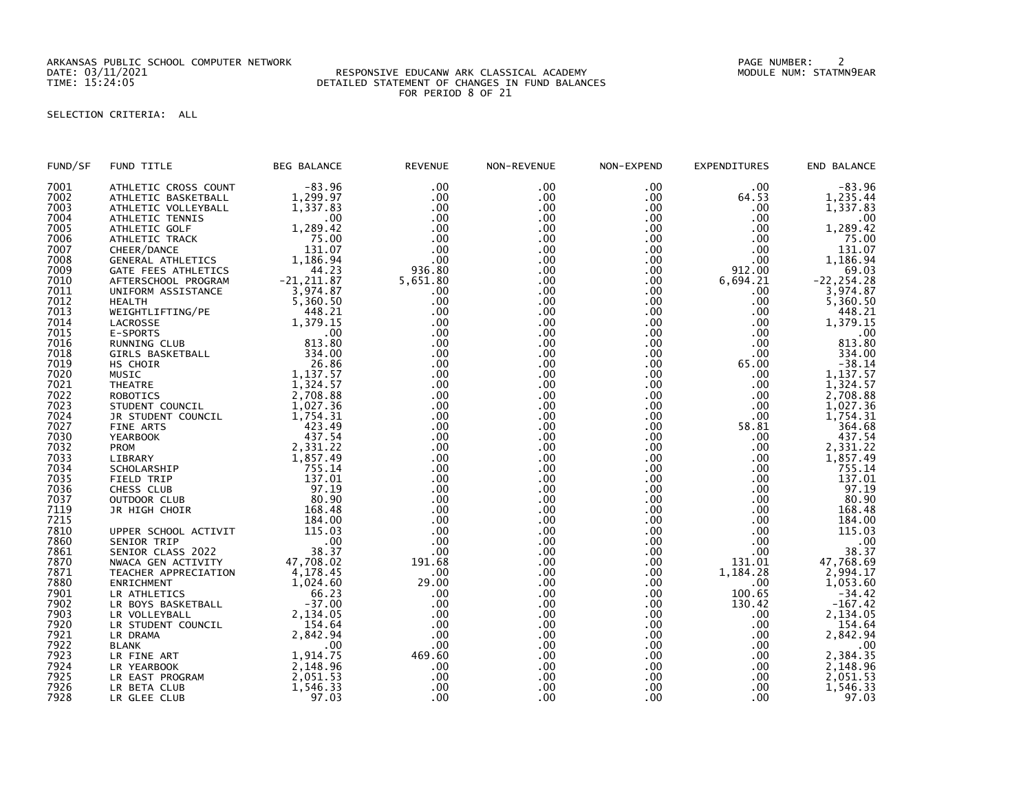ARKANSAS PUBLIC SCHOOL COMPUTER NETWORK PAGE NUMBER: 2

## DATE: 03/11/2021 RESPONSIVE EDUCANW ARK CLASSICAL ACADEMY MODULE NUM: STATMN9EAR TIME: 15:24:05 DETAILED STATEMENT OF CHANGES IN FUND BALANCES FOR PERIOD 8 OF 21

## SELECTION CRITERIA: ALL

| FUND/SF      | FUND TITLE           | <b>BEG BALANCE</b> | <b>REVENUE</b> | NON-REVENUE | NON-EXPEND | EXPENDITURES | END BALANCE   |
|--------------|----------------------|--------------------|----------------|-------------|------------|--------------|---------------|
| 7001         | ATHLETIC CROSS COUNT | $-83.96$           | .00            | .00         | .00        | .00          | $-83.96$      |
| 7002         | ATHLETIC BASKETBALL  | 1,299.97           | .00            | .00         | .00        | 64.53        | 1,235.44      |
| 7003         | ATHLETIC VOLLEYBALL  | 1,337.83           | .00            | .00         | .00        | .00          | 1,337.83      |
| 7004         | ATHLETIC TENNIS      | .00                | .00            | .00         | .00        | .00          | .00           |
| 7005         | ATHLETIC GOLF        | 1,289.42           | .00            | .00         | .00        | .00          | 1,289.42      |
| 7006         | ATHLETIC TRACK       | 75.00              | .00            | .00         | .00        | .00          | 75.00         |
| 7007         | CHEER/DANCE          | 131.07             | .00            | .00         | .00        | .00          | 131.07        |
| 7008         | GENERAL ATHLETICS    | 1,186.94           | .00            | .00         | .00        | .00          | 1,186.94      |
| 7009         | GATE FEES ATHLETICS  | 44.23              | 936.80         | .00         | .00        | 912.00       | 69.03         |
| 7010         | AFTERSCHOOL PROGRAM  | $-21, 211.87$      | 5,651.80       | .00         | .00        | 6,694.21     | $-22, 254.28$ |
| 7011         | UNIFORM ASSISTANCE   | 3,974.87           | .00            | .00         | .00        | .00          | 3,974.87      |
| 7012         | <b>HEALTH</b>        | 5,360.50           | .00            | .00         | .00        | .00          | 5,360.50      |
| 7013         | WEIGHTLIFTING/PE     | 448.21             | .00            | .00         | .00.       | .00          | 448.21        |
| 7014         | LACROSSE             | 1,379.15           | .00            | .00         | .00        | .00          | 1,379.15      |
| 7015         | E-SPORTS             | .00                | .00            | .00         | .00        | .00          | .00           |
| 7016         | RUNNING CLUB         | 813.80             | .00            | .00         | .00        | .00          | 813.80        |
| 7018         | GIRLS BASKETBALL     | 334.00             | .00            | .00         | .00        | .00          | 334.00        |
| 7019         | HS CHOIR             | 26.86              | .00            | .00         | .00        | 65.00        | $-38.14$      |
| 7020         | <b>MUSIC</b>         | 1,137.57           | .00            | .00         | .00        | .00          | 1,137.57      |
| 7021         | <b>THEATRE</b>       | 1,324.57           | .00            | .00         | .00        | .00          | 1,324.57      |
| 7022         |                      | 2,708.88           | .00            | .00         |            | .00          |               |
|              | <b>ROBOTICS</b>      | 1,027.36           | .00            |             | .00        |              | 2,708.88      |
| 7023<br>7024 | STUDENT COUNCIL      |                    |                | .00         | .00        | .00          | 1,027.36      |
|              | JR STUDENT COUNCIL   | 1,754.31           | .00            | .00         | .00        | .00          | 1,754.31      |
| 7027         | FINE ARTS            | 423.49             | .00            | .00         | .00.       | 58.81        | 364.68        |
| 7030         | <b>YEARBOOK</b>      | 437.54             | .00            | .00         | .00        | .00          | 437.54        |
| 7032         | <b>PROM</b>          | 2,331.22           | .00            | .00         | .00        | .00          | 2,331.22      |
| 7033         | LIBRARY              | 1,857.49           | .00            | .00         | .00        | .00          | 1,857.49      |
| 7034         | SCHOLARSHIP          | 755.14             | .00            | .00         | .00        | .00.         | 755.14        |
| 7035         | FIELD TRIP           | 137.01             | .00            | .00         | .00        | .00          | 137.01        |
| 7036         | CHESS CLUB           | 97.19              | .00            | .00         | .00        | .00          | 97.19         |
| 7037         | OUTDOOR CLUB         | 80.90              | .00            | .00         | .00        | .00          | 80.90         |
| 7119         | JR HIGH CHOIR        | 168.48             | .00            | .00         | .00.       | .00          | 168.48        |
| 7215         |                      | 184.00             | .00            | .00         | .00.       | .00          | 184.00        |
| 7810         | UPPER SCHOOL ACTIVIT | 115.03             | .00            | .00         | $.00 \,$   | .00          | 115.03        |
| 7860         | SENIOR TRIP          | .00                | .00            | .00         | .00        | .00          | .00           |
| 7861         | SENIOR CLASS 2022    | 38.37              | .00            | .00         | .00        | .00          | 38.37         |
| 7870         | NWACA GEN ACTIVITY   | 47,708.02          | 191.68         | .00         | .00        | 131.01       | 47,768.69     |
| 7871         | TEACHER APPRECIATION | 4,178.45           | .00            | .00         | .00.       | 1,184.28     | 2,994.17      |
| 7880         | ENRICHMENT           | 1,024.60           | 29.00          | .00         | .00        | .00          | 1,053.60      |
| 7901         | LR ATHLETICS         | 66.23              | .00            | .00         | .00        | 100.65       | $-34.42$      |
| 7902         | LR BOYS BASKETBALL   | $-37.00$           | .00            | .00         | .00        | 130.42       | $-167.42$     |
| 7903         | LR VOLLEYBALL        | 2,134.05           | .00            | .00         | .00        | .00          | 2,134.05      |
| 7920         | LR STUDENT COUNCIL   | 154.64             | .00            | .00         | .00        | .00          | 154.64        |
| 7921         | LR DRAMA             | 2,842.94           | .00            | .00         | .00        | .00          | 2,842.94      |
| 7922         | <b>BLANK</b>         | .00                | .00            | .00         | .00        | .00          | .00           |
| 7923         | LR FINE ART          | 1,914.75           | 469.60         | .00         | .00        | .00          | 2,384.35      |
| 7924         | LR YEARBOOK          | 2,148.96           | .00            | .00         | .00        | .00          | 2,148.96      |
| 7925         | LR EAST PROGRAM      | 2,051.53           | .00            | .00         | .00        | .00          | 2,051.53      |
| 7926         | LR BETA CLUB         | 1,546.33           | .00            | .00         | .00        | .00          | 1,546.33      |
| 7928         | LR GLEE CLUB         | 97.03              | .00            | .00         | .00        | .00          | 97.03         |